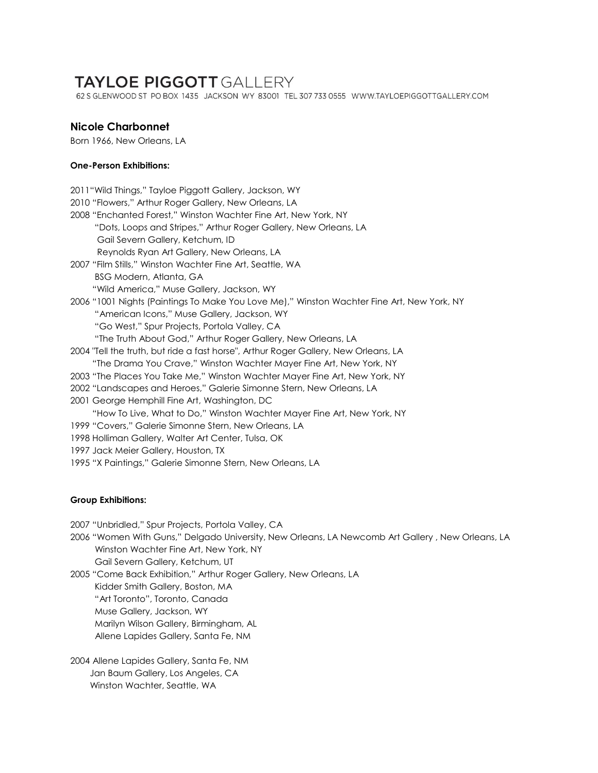# **TAYLOE PIGGOTT GALLERY**

62 S GLENWOOD ST PO BOX 1435 JACKSON WY 83001 TEL 307 733 0555 WWW.TAYLOEPIGGOTTGALLERY.COM

## **Nicole Charbonnet**

Born 1966, New Orleans, LA

### **One-Person Exhibitions:**

2011"Wild Things," Tayloe Piggott Gallery, Jackson, WY 2010 "Flowers," Arthur Roger Gallery, New Orleans, LA 2008 "Enchanted Forest," Winston Wachter Fine Art, New York, NY "Dots, Loops and Stripes," Arthur Roger Gallery, New Orleans, LA Gail Severn Gallery, Ketchum, ID Reynolds Ryan Art Gallery, New Orleans, LA 2007 "Film Stills," Winston Wachter Fine Art, Seattle, WA BSG Modern, Atlanta, GA "Wild America," Muse Gallery, Jackson, WY 2006 "1001 Nights (Paintings To Make You Love Me)," Winston Wachter Fine Art, New York, NY "American Icons," Muse Gallery, Jackson, WY "Go West," Spur Projects, Portola Valley, CA "The Truth About God," Arthur Roger Gallery, New Orleans, LA 2004 "Tell the truth, but ride a fast horse", Arthur Roger Gallery, New Orleans, LA "The Drama You Crave," Winston Wachter Mayer Fine Art, New York, NY 2003 "The Places You Take Me," Winston Wachter Mayer Fine Art, New York, NY 2002 "Landscapes and Heroes," Galerie Simonne Stern, New Orleans, LA 2001 George Hemphill Fine Art, Washington, DC "How To Live, What to Do," Winston Wachter Mayer Fine Art, New York, NY 1999 "Covers," Galerie Simonne Stern, New Orleans, LA 1998 Holliman Gallery, Walter Art Center, Tulsa, OK 1997 Jack Meier Gallery, Houston, TX 1995 "X Paintings," Galerie Simonne Stern, New Orleans, LA

### **Group Exhibitions:**

2007 "Unbridled," Spur Projects, Portola Valley, CA

2006 "Women With Guns," Delgado University, New Orleans, LA Newcomb Art Gallery , New Orleans, LA Winston Wachter Fine Art, New York, NY Gail Severn Gallery, Ketchum, UT

2005 "Come Back Exhibition," Arthur Roger Gallery, New Orleans, LA Kidder Smith Gallery, Boston, MA "Art Toronto", Toronto, Canada Muse Gallery, Jackson, WY Marilyn Wilson Gallery, Birmingham, AL Allene Lapides Gallery, Santa Fe, NM

2004 Allene Lapides Gallery, Santa Fe, NM Jan Baum Gallery, Los Angeles, CA Winston Wachter, Seattle, WA